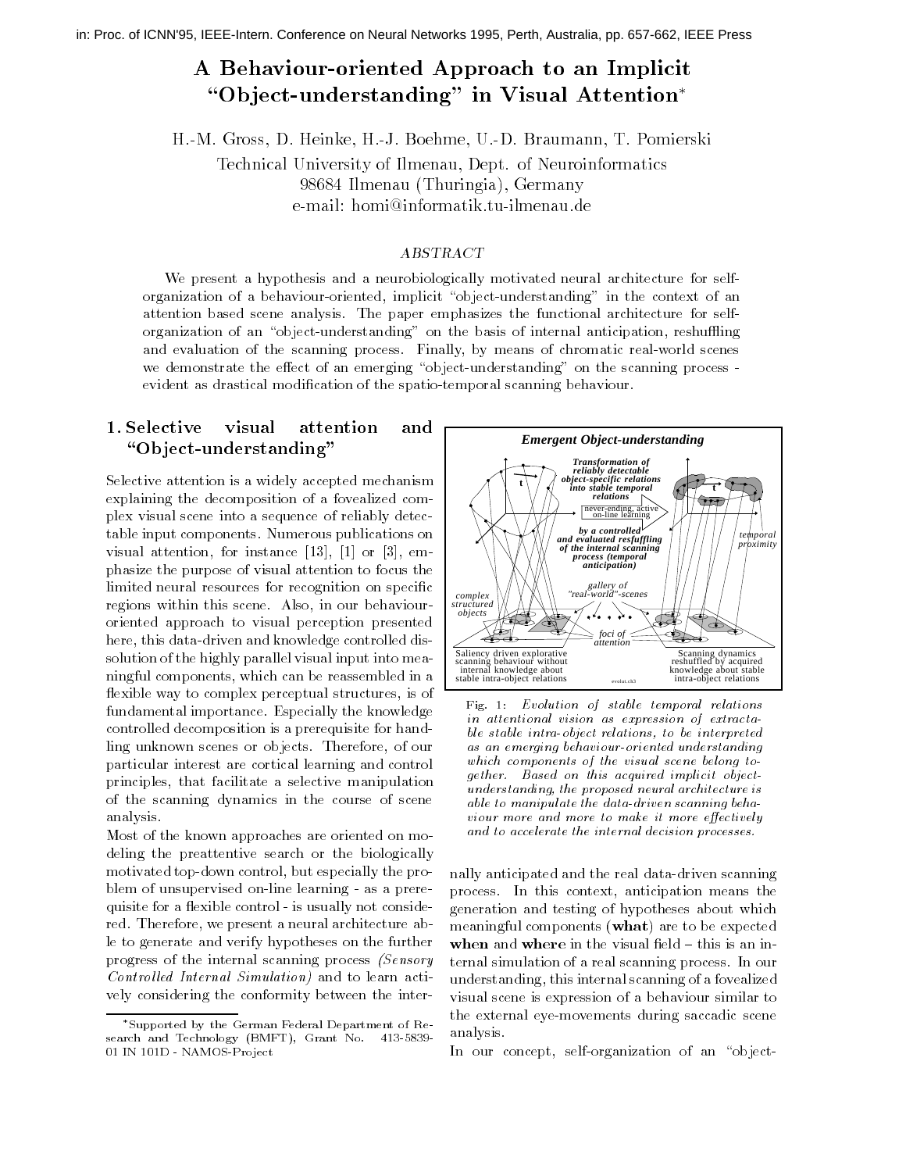## A Behaviour-oriented Approach to an Implicit Ob ject-understanding in Visual Attention

H-M- Gross D- Heinke H-J- Boehme U-D- Braumann T- Pomierski

Technical University of Ilmenau Dept- of NeuroinformaticsGermany Indiana I I nuningia L'Orginiani V e-man. nomisemiormaans.au-mienau.ue

#### ABSTRACT

We present a hypothesis and a neurobiologically motivated neural architecture for selforganization of a behaviour-oriented implicit object-understanding in the context of an attention based scene analysis The paper emphasizes the functional architecture for selforganization of an object-understanding on the basis of internal anticipation reshuing and evaluation of the scanning process Finally by means of chromatic real-world scenes we demonstrate the eect of an emerging object-understanding on the scanning process evident as dramatical modifical modification of the spatio-spatio-spatio-spatio-spatio-spatio-spatio

#### 1. Selective visual attention and "Object-understanding"

Selective attention is a widely accepted mechanism explaining the decomposition of a fovealized complex visual scene into a sequence of reliably detectable input components Numerous publications on reconstruction for instance and the contract of the contract of the contract of the contract of the contract o phasize the purpose of visual attention to focus the limited neural resources for recognition on specific regions within this scene. Also, in our behaviouroriented approach to visual perception presented here this data-driven and knowledge controlled dissolution of the highly parallel visual input into meaningful components, which can be reassembled in a flexible way to complex perceptual structures, is of fundamental importance Especially the knowledge controlled decomposition is a prerequisite for handling unknown scenes or objects. Therefore, of our particular interest are cortical learning and control principles, that facilitate a selective manipulation of the scanning dynamics in the course of scene analysis

Most of the known approaches are oriented on modeling the preattentive search or the biologically motivated top-down control but especially the problem of unsupervised on-line learning - as a prerequisite for a exibited control of the matter, means consider red. Therefore, we present a neural architecture able to generate and verify hypotheses on the further progress of the internal scanning process (Sensory Control led Internal Simulation- and to learn actively considering the conformity between the inter-



Fig. 1: Evolution of stable temporal relations in attentional vision as expression of extractable stable intra-object relations to be interpreted as an emerging someories internet understanding which components of the visual scene belong together. Based on this acquired implicit objectunderstanding, the proposed neural architecture is able to manipulate the data-driven scanning beha viour more and more to make it more eectively and to accelerate the internal decision processes

 nally anticipated and the real data-driven scanning process In this context anticipation means the generation and testing of hypotheses about which meaningful components what are to be expected understanding this internal scanning of a fovealized visual scene is expression of a behaviour similar to analysis when and where in the visual field  $-$  this is an internal simulation of a real scanning process In our the external eye-movements during saccadic scene

In our concept self-organization of an object-

Supported by the German Federal Department of Research and Technology (Technology Technology Basic No. 1999) IN 
D - NAMOS-Pro ject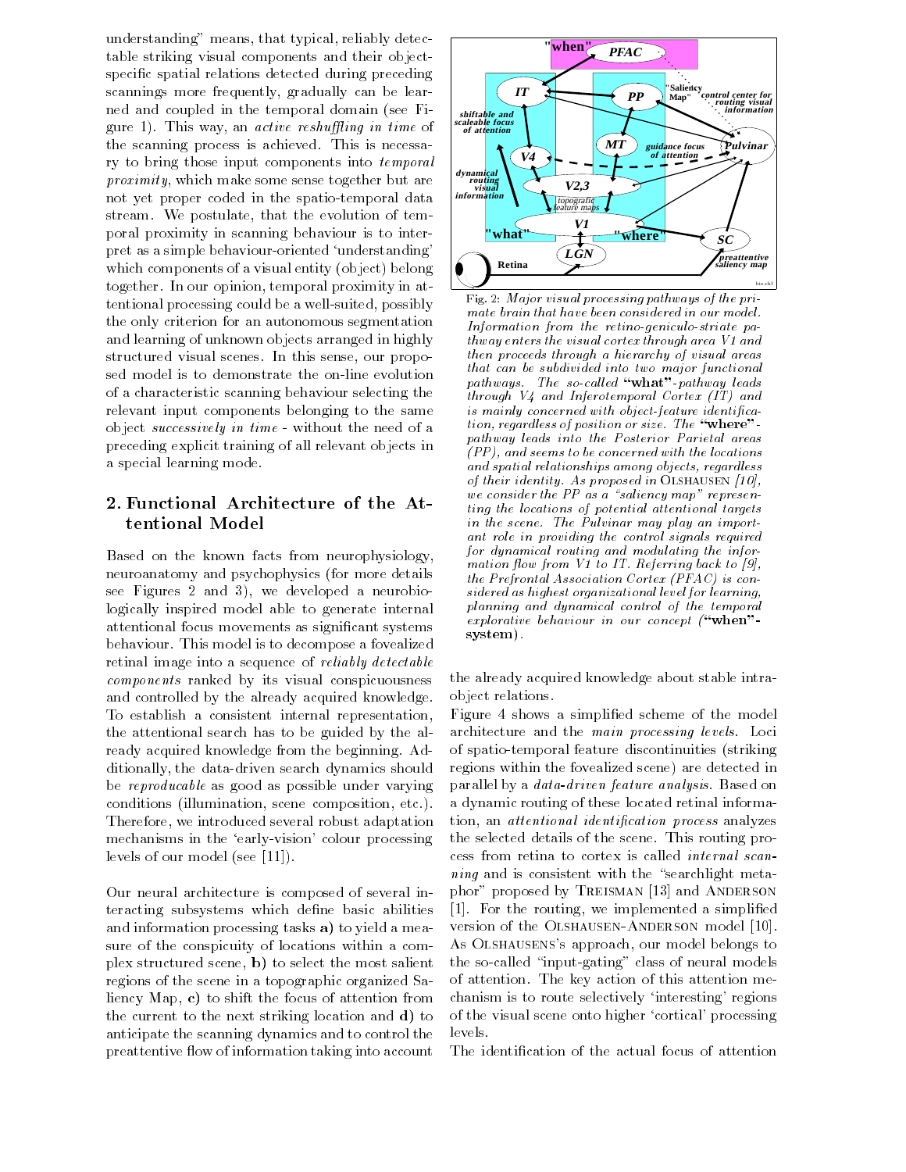understanding" means, that typical, reliably detectable striking visual components and their objectspecific spatial relations detected during preceding scannings more frequently, gradually can be learned and coupled in the temporal domain (see Figure 1). This way, an *active reshuffling in time* of the scanning process is achieved. This is necessary to bring those input components into temporal  $proximity$ , which make some sense together but are not yet proper coded in the spatio-temporal data stream. We postulate, that the evolution of temporal proximity in scanning behaviour is to interpret as a simple behaviour-oriented understanding which components of a visual entity (object) belong together. In our opinion, temporal proximity in attentional processing could be a well-suited possibly the only criterion for an autonomous segmentation and learning of unknown objects arranged in highly structured visual scenes. In this sense, our propoof a characteristic scanning behaviour selecting the relevant input components belonging to the same or jour successively in times - without the means of a new preceding explicit training of all relevant objects in a special learning mode

# tentional Model

Based on the known facts from neurophysiology neuroanatomy and psychophysics (for more details see Figures 2 and 3), we developed a neurobiologically inspired model able to generate internal attentional focus movements as significant systems behaviour This model is to decompose a fovealized retinal image into a sequence of reliably detectable components ranked by its visual conspicuousness and controlled by the already acquired knowledge To establish a consistent internal representation the attentional search has to be guided by the already acquired knowledge from the beginning. Additionally the dition dition and distinct should show and showledge the showledge of the showledge of the showledge of the showledge of the showledge of the showledge of the showledge of the showledge of the showledge of t be reproducable as good as possible under varying conditions (illumination, scene composition, etc.). Therefore, we introduced several robust adaptation mechanisms in the early-early-early-early-early-early-early-early-early-early-early-early-early-early-early-early-early-early-early-early-early-early-early-early-early-early-early-early-early-early-early-early-early-early levels of our model see all  $\mathcal{N}$  and  $\mathcal{N}$  are model see all  $\mathcal{N}$ 

Our neural architecture is composed of several interacting subsystems which define basic abilities and information processing tasks a- to yield a measure of the conspicuity of locations within a complex structured scene b-most salient scene b-most salient salient salient salient salient salient salient sali regions of the scene in a topographic organized Saliency Map c- to shift the focus of attention from the current to the next striking location and d- to anticipate the scanning dynamics and to control the preattentive flow of information taking into account



Fig. 2: Major visual processing pathways of the primate brain that have been considered in our model. Information from the retino-geniculo-striate pathway enters the visual cortex through area  $VI$  and then proceeds through a hierarchy of visual areas that can be subdivided into two major functional pathways The so-cal led what--pathway leads through  $V_4$  and Inferotemporal Cortex (IT) and is mainly concerned with object-feature identi cation regard less of position or size The where-pathway leads into the Posterior Parietal areas  $(PP)$ , and seems to be concerned with the locations and spatial relationships among objects, regardless of their identity. As proposed in OLSHAUSEN  $[10]$ , we consider the  $PP$  as a "saliency map" representing the locations of potential attentional targets in the scene. The Pulvinar may play an important role in providing the control signals required for dynamical routing and modulating the information flow from V1 to IT. Referring back to [9], the Prefrontal Association Cortex (PFAC) is considered as highest organizational level for learning planning and dynamical control of the temporal explorative behaviour in our concept when system).

the already acquired knowledge about stable intraobject relations

architecture and the main processing levels Locies temporal feature discontinuities striking the continuity of the striking of the striking of the striking of the phor proposed by Treisman 
 and Anderson version of the Olshausen-Anderson model As Olshausenss approach our model belongs to Figure 4 shows a simplified scheme of the model regions within the fovealized scene) are detected in parallel by a *data-driven feature analysis*. Based on a dynamic routing of these located retinal information, an *attentional identification process* analyzes the selected details of the scene This routing process from retina to cortex is called internal scan  $ning$  and is consistent with the "searchlight meta-For the routing we implemented a simple we implemented a simple  $\mathbf{r}$  and  $\mathbf{r}$ the so-called input-dimensional models of  $\mathbf{r}$  and  $\mathbf{r}$  and  $\mathbf{r}$  and  $\mathbf{r}$  are called input-dimensional models of  $\mathbf{r}$ of attention The key action of this attention mechanism is to route selectively 'interesting' regions of the visual scene onto higher 'cortical' processing levels

The identification of the actual focus of attention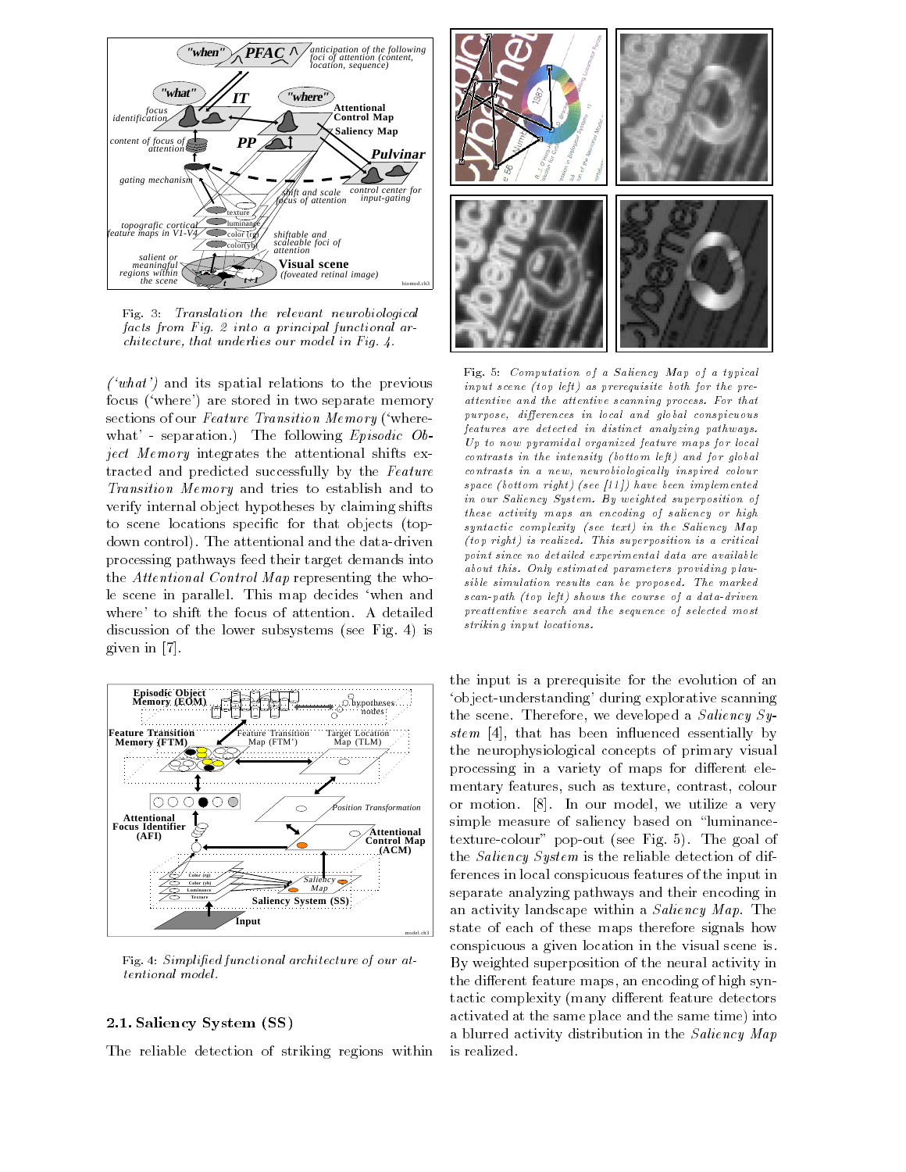

Fig. 3: Translation the relevant neurobiological facts from Fig. 2 into a principal functional architecture, that underlies our model in Fig.  $4$ .

where  $\mathbf{r}$  is spatial relations to the previous to the previous to the previous to the previous spatial relations of  $\mathbf{r}$ focus ('where') are stored in two separate memory sections of our Feature Transition Memory ('wherewhere the following and the following Episodic Objects of the following  $\mathcal{L}$ ject Memory integrates the attentional shifts extracted and predicted successfully by the Feature Transition Memory and tries to establish and to verify internal object hypotheses by claiming shifts to scene locations specific for that objects (topdown control The attentional and the data-driven processing pathways feed their target demands into the Attentional Control Map representing the whole scene in parallel. This map decides 'when and where' to shift the focus of attention. A detailed discussion of the lower subsystems (see Fig. 4) is  $\sigma$  in the interval of  $\sigma$ 



Fig Simpli ed functional architecture of our attentional model

#### 2.1. Saliency System (SS)

The reliable detection of striking regions within



Fig Computation of a Saliency Map of a typical input scene -top left as prerequisite both for the pre attentive and the attentive scanning process. For that purpose, differences in local and global conspicuous features are detected in distinct analyzing pathways Up to now pyramidal organized feature maps for local contrasts in the intensity of the intensity of the intensity of the intensity of the intensity of the intensity of the intensity of the intensity of the intensity of the intensity of the intensity of the intensity of the i  $contrast\,$  in a new, neurobiologically inspired colour space - the contract - through - the contract - through - through - through - through - through - through - th in our Saliency System. By weighted superposition of these activity maps an encoding of saliency or high syntactic complexity -see text in the Saliency Map -top right is realized This superposition is a critical point since no detailed experimental data are available about this. Only estimated parameters providing plausible simulation results can be proposed. The marked scanding the course of a data dramatic shows the course of a data dramatic shows the course of a data dramatic preattentive search and the sequence of selected most striking input locations

the input is a prerequisite for the evolution of an object-understanding during explorative scanning the scene. Therefore, we developed a Saliency System in that has been included essentially by the stem in the stem in the stem in the stem in the stem in the s the neurophysiological concepts of primary visual processing in a variety of maps for different elementary features, such as texture, contrast, colour or model we utilize a very model we utilize a very model we utilize a very set of the set of the set of the se simple measure of saliency based on "luminancetexture-colour pop-out see Fig The goal of the Saliency System is the reliable detection of differences in local conspicuous features of the input in separate analyzing pathways and their encoding in an activity landscape within a *Saliency Map*. The state of each of these maps therefore signals how conspicuous a given location in the visual scene is By weighted superposition of the neural activity in the different feature maps, an encoding of high syntactic complexity (many different feature detectors activated at the same place and the same time) into a blurred activity distribution in the Saliency Map is realized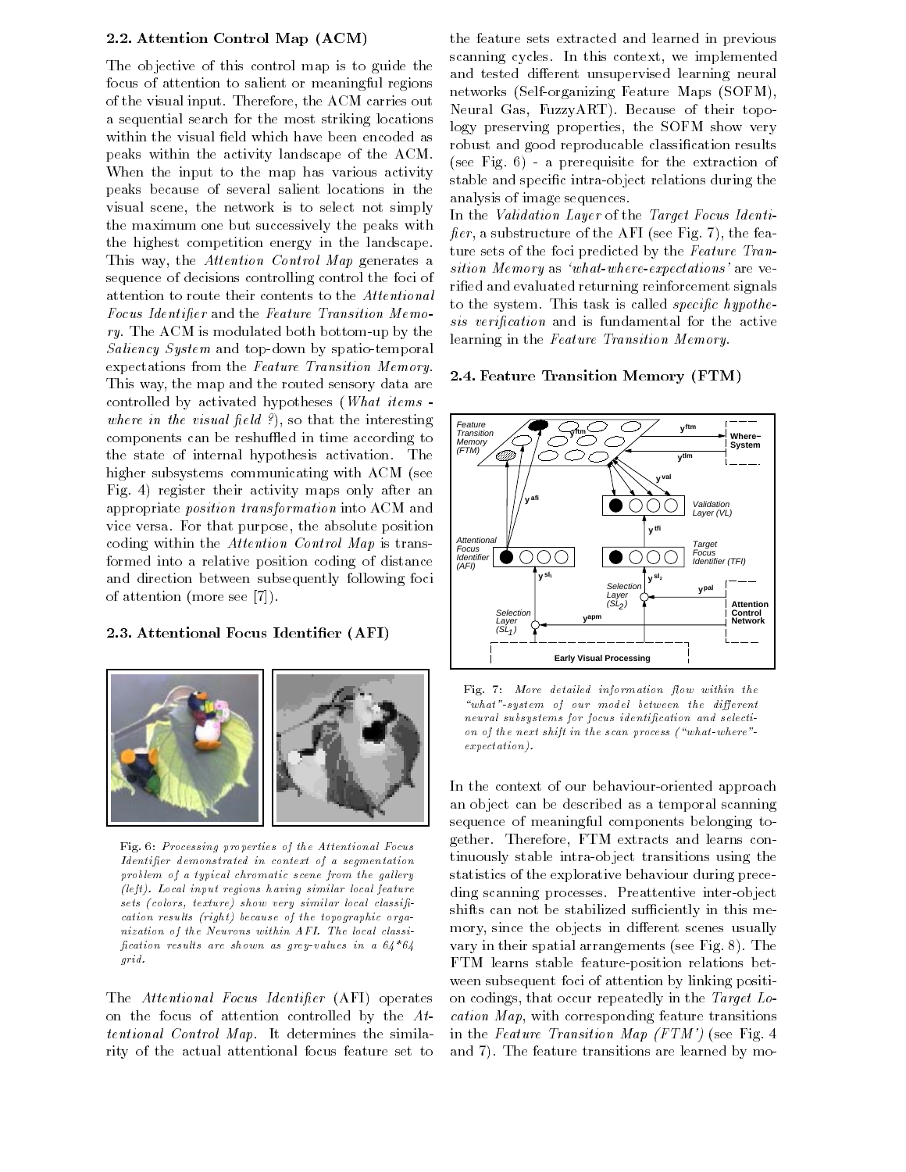#### 2.2. Attention Control Map (ACM)

The objective of this control map is to guide the focus of attention to salient or meaningful regions of the visual input. Therefore, the ACM carries out a sequential search for the most striking locations within the visual field which have been encoded as peaks within the activity landscape of the ACM When the input to the map has various activity peaks because of several salient locations in the visual scene, the network is to select not simply the maximum one but successively the peaks with the highest competition energy in the landscape This way, the Attention Control Map generates a sequence of decisions controlling control the foci of attention to route their contents to the Attentional Focus Identifier and the Feature Transition Memory The ACM is modulated both bottom-up by the Saliency System and top-down by spatio-temporal expectations from the Feature Transition Memory This way, the map and the routed sensory data are controlled by activated hypotheses (*What items* where in the visual field  $\ell$ ), so that the interesting components can be reshuffled in time according to the state of internal hypothesis activation The higher subsystems communicating with ACM (see Fig. 4) register their activity maps only after an appropriate position transformation into ACM and vice versa. For that purpose, the absolute position coding within the Attention Control Map is transformed into a relative position coding of distance and direction between subsequently following foci of attention to the seeding and seeding a set of the second second second second second second second second s

#### 2.3. Attentional Focus Identifier (AFI)



Fig. 6: Processing properties of the Attentional Focus  $\emph{Identifier demonstrated in context of a segmentation}$  $problem$  of a typical chromatic scene from the gallery -left Local input regions having similar local feature sets -colors texture show very similar local classi cation results -right because of the topographic orga nization of the Neurons within AFI. The local classification results are shown as grey-values in a  $64*64$ grid

The Attentional Focus Identifier (AFI) operates on the focus of attention controlled by the  $At$ tentional Control Map It determines the similarity of the actual attentional focus feature set to

the feature sets extracted and learned in previous scanning cycles. In this context, we implemented and tested different unsupervised learning neural networks Self-Communicated Feature Maps Software Maps Software Neural Gas, FuzzyART). Because of their topology preserving properties, the SOFM show very robust and good reproducable classification results see Fig. ., a presequence for the extraction of  $\mathbb{R}^n$ stable and specified intra-during the specific contra-during the contraanalysis of image sequences

In the *Validation Layer* of the *Target Focus Identi*fier, a substructure of the AFI (see Fig. 7), the feature sets of the foci predicted by the Feature Transition Memory as 'what-where-expectations' are verified and evaluated returning reinforcement signals to the system. This task is called *specific hypothe*sis verification and is fundamental for the active learning in the Feature Transition Memory

### 2.4. Feature Transition Memory (FTM)



Fig. 7: More detailed information flow within the "what"-system of our model between the different neural subsystems for focus identification and selection on other the next shift in the scan process - when process - when we have shared the scan process - when we h expectation).

in the Fauture Transition of the FTM-1 and the FTM-T In the context of our behaviour-oriented approach an object can be described as a temporal scanning sequence of meaningful components belonging together. Therefore, FTM extracts and learns continuously stable intra-object transitions using the statistics of the explorative behaviour during preceding scanning processes Preattentive inter-object shifts can not be stabilized sufficiently in this memory, since the objects in different scenes usually vary in their spatial arrangements (see Fig.  $8$ ). The FTM learns stable feature-position relations between subsequent foci of attention by linking position codings, that occur repeatedly in the Target  $Lo$  $cation Map$ , with corresponding feature transitions and 7). The feature transitions are learned by mo-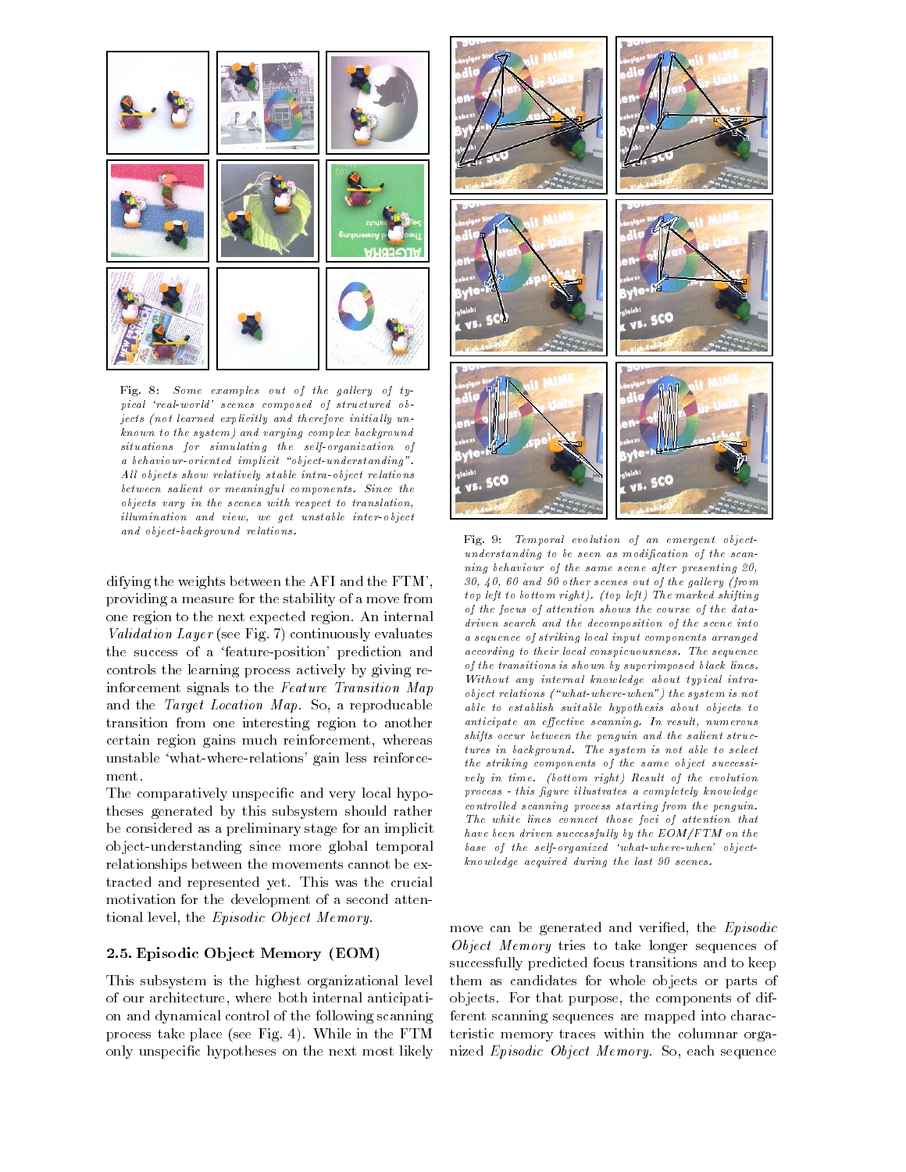

Fig. 8: Some examples out of the gallery of typical 'real-world' scenes composed of structured objects -not learned explicitly and therefore initial ly un  $known to the system)$  and varying complex background situations for simulating the self-organization of  $a$  behaviour-oriented implicit "object-understanding". All objects show relatively stable intra-object relations between salient or meaningful components. Since the objects vary in the scenes with respect to translation illumination and view, we get unstable inter-object and object-background relations.

difying the weights between the AFI and the FTM providing a measure for the stability of a move from one region to the next expected region An internal Validation Layer (see Fig. 7) continuously evaluates the success of a feature-position prediction and controls the learning process actively by giving reinforcement signals to the Feature Transition Map and the *Target Location Map*. So, a reproducable transition from one interesting region to another certain region gains much reinforcement, whereas where- where-the-contractions gainst relations re ment

The comparatively unspecific and very local hypotheses generated by this subsystem should rather be considered as a preliminary stage for an implicit object-understanding since more global temporal relationships between the movements cannot be extracted and represented yet This was the crucial motivation for the development of a second attentional level, the Episodic Object Memory.

#### Episodic Ob ject Memory EOM-

This subsystem is the highest organizational level of our architecture, where both internal anticipation and dynamical control of the following scanning process take place (see Fig. 4). While in the FTM only unspecific hypotheses on the next most likely



Fig. 9: Temporal evolution of an emergent object $understanding to be seen as modification of the scan$ ning behaviour of the same scene after presenting and which seems are scenes of the gallery of the galaxies of the galaxies of the galaxies of the galaxies of t top left to bottom right -top left The marked shifting of the focus of attention shows the course of the data driven search and the decomposition of the scene into a sequence of striking local input components arranged according to their local conspicuousness. The sequence of the transitions is shown by superimposed black lines Without any internal know ledge about typical intra object relations -whatwherewhen the system is not able to establish suitable hypothesis about objects to anticipate an effective scanning. In result, numerous shifts occur between the penguin and the salient struc tures in background. The system is not able to select the striking components of the same object successi vely in time -bottom right Result of the evolution  $p$  rocess - this figure illustrates a completely knowledge  $controlled\ scanning\ process\ starting\ from\ the\ penguin.$ The white lines connect those foci of attention that have been driven successfully by the  $EOM/FTM$  on the base of the self-organized 'what-where-when' objectknowledge acquired during the last 90 scenes.

 objects For that purpose the components of difmove can be generated and verified, the Episodic Object Memory tries to take longer sequences of successfully predicted focus transitions and to keep them as candidates for whole objects or parts of ferent scanning sequences are mapped into characteristic memory traces within the columnar organized Episodic Object Memory. So, each sequence